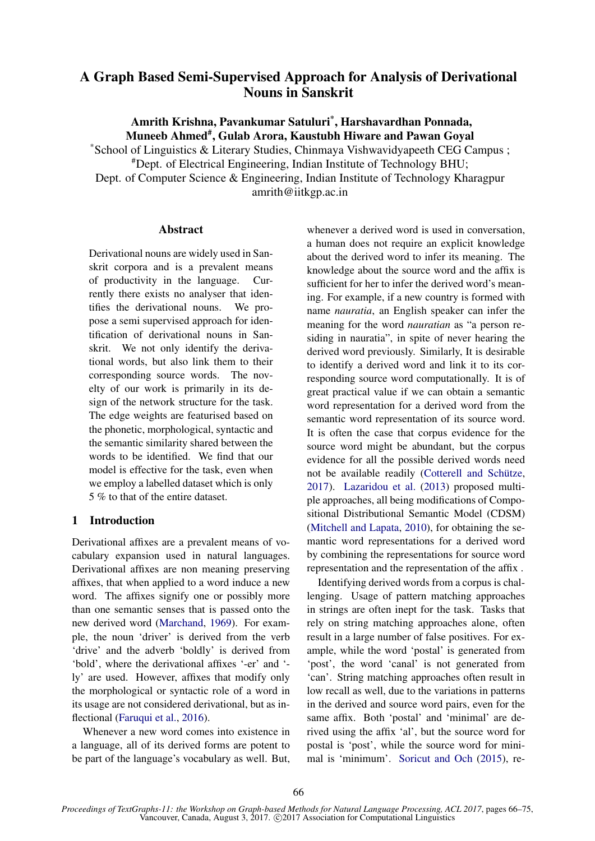# A Graph Based Semi-Supervised Approach for Analysis of Derivational Nouns in Sanskrit

Amrith Krishna, Pavankumar Satuluri\* , Harshavardhan Ponnada, Muneeb Ahmed<sup>#</sup>, Gulab Arora, Kaustubh Hiware and Pawan Goyal

\*School of Linguistics & Literary Studies, Chinmaya Vishwavidyapeeth CEG Campus ; #Dept. of Electrical Engineering, Indian Institute of Technology BHU; Dept. of Computer Science & Engineering, Indian Institute of Technology Kharagpur amrith@iitkgp.ac.in

#### Abstract

Derivational nouns are widely used in Sanskrit corpora and is a prevalent means of productivity in the language. Currently there exists no analyser that identifies the derivational nouns. We propose a semi supervised approach for identification of derivational nouns in Sanskrit. We not only identify the derivational words, but also link them to their corresponding source words. The novelty of our work is primarily in its design of the network structure for the task. The edge weights are featurised based on the phonetic, morphological, syntactic and the semantic similarity shared between the words to be identified. We find that our model is effective for the task, even when we employ a labelled dataset which is only 5 % to that of the entire dataset.

## 1 Introduction

Derivational affixes are a prevalent means of vocabulary expansion used in natural languages. Derivational affixes are non meaning preserving affixes, that when applied to a word induce a new word. The affixes signify one or possibly more than one semantic senses that is passed onto the new derived word (Marchand, 1969). For example, the noun 'driver' is derived from the verb 'drive' and the adverb 'boldly' is derived from 'bold', where the derivational affixes '-er' and ' ly' are used. However, affixes that modify only the morphological or syntactic role of a word in its usage are not considered derivational, but as inflectional (Faruqui et al., 2016).

Whenever a new word comes into existence in a language, all of its derived forms are potent to be part of the language's vocabulary as well. But,

whenever a derived word is used in conversation, a human does not require an explicit knowledge about the derived word to infer its meaning. The knowledge about the source word and the affix is sufficient for her to infer the derived word's meaning. For example, if a new country is formed with name *nauratia*, an English speaker can infer the meaning for the word *nauratian* as "a person residing in nauratia", in spite of never hearing the derived word previously. Similarly, It is desirable to identify a derived word and link it to its corresponding source word computationally. It is of great practical value if we can obtain a semantic word representation for a derived word from the semantic word representation of its source word. It is often the case that corpus evidence for the source word might be abundant, but the corpus evidence for all the possible derived words need not be available readily (Cotterell and Schütze, 2017). Lazaridou et al. (2013) proposed multiple approaches, all being modifications of Compositional Distributional Semantic Model (CDSM) (Mitchell and Lapata, 2010), for obtaining the semantic word representations for a derived word by combining the representations for source word representation and the representation of the affix .

Identifying derived words from a corpus is challenging. Usage of pattern matching approaches in strings are often inept for the task. Tasks that rely on string matching approaches alone, often result in a large number of false positives. For example, while the word 'postal' is generated from 'post', the word 'canal' is not generated from 'can'. String matching approaches often result in low recall as well, due to the variations in patterns in the derived and source word pairs, even for the same affix. Both 'postal' and 'minimal' are derived using the affix 'al', but the source word for postal is 'post', while the source word for minimal is 'minimum'. Soricut and Och (2015), re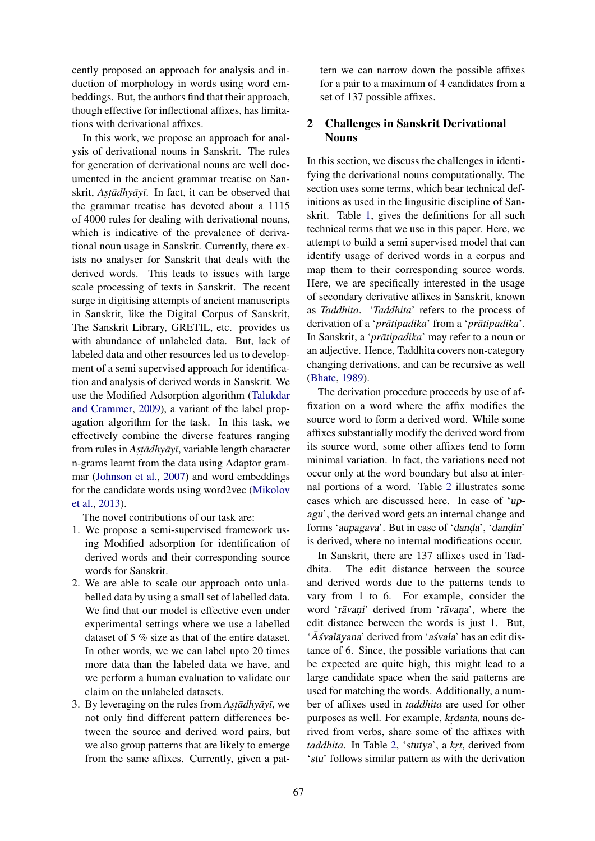cently proposed an approach for analysis and induction of morphology in words using word embeddings. But, the authors find that their approach, though effective for inflectional affixes, has limitations with derivational affixes.

In this work, we propose an approach for analysis of derivational nouns in Sanskrit. The rules for generation of derivational nouns are well documented in the ancient grammar treatise on Sanskrit, *Astadhyayī*. In fact, it can be observed that the grammar treatise has devoted about a 1115 of 4000 rules for dealing with derivational nouns, which is indicative of the prevalence of derivational noun usage in Sanskrit. Currently, there exists no analyser for Sanskrit that deals with the derived words. This leads to issues with large scale processing of texts in Sanskrit. The recent surge in digitising attempts of ancient manuscripts in Sanskrit, like the Digital Corpus of Sanskrit, The Sanskrit Library, GRETIL, etc. provides us with abundance of unlabeled data. But, lack of labeled data and other resources led us to development of a semi supervised approach for identification and analysis of derived words in Sanskrit. We use the Modified Adsorption algorithm (Talukdar and Crammer, 2009), a variant of the label propagation algorithm for the task. In this task, we effectively combine the diverse features ranging from rules in *Astadhyayī*, variable length character n-grams learnt from the data using Adaptor grammar (Johnson et al., 2007) and word embeddings for the candidate words using word2vec (Mikolov et al., 2013).

The novel contributions of our task are:

- 1. We propose a semi-supervised framework using Modified adsorption for identification of derived words and their corresponding source words for Sanskrit.
- 2. We are able to scale our approach onto unlabelled data by using a small set of labelled data. We find that our model is effective even under experimental settings where we use a labelled dataset of 5 % size as that of the entire dataset. In other words, we we can label upto 20 times more data than the labeled data we have, and we perform a human evaluation to validate our claim on the unlabeled datasets.
- 3. By leveraging on the rules from *Astadhyayi*, we not only find different pattern differences between the source and derived word pairs, but we also group patterns that are likely to emerge from the same affixes. Currently, given a pat-

tern we can narrow down the possible affixes for a pair to a maximum of 4 candidates from a set of 137 possible affixes.

## 2 Challenges in Sanskrit Derivational Nouns

In this section, we discuss the challenges in identifying the derivational nouns computationally. The section uses some terms, which bear technical definitions as used in the lingusitic discipline of Sanskrit. Table 1, gives the definitions for all such technical terms that we use in this paper. Here, we attempt to build a semi supervised model that can identify usage of derived words in a corpus and map them to their corresponding source words. Here, we are specifically interested in the usage of secondary derivative affixes in Sanskrit, known as *Taddhita*. '*Taddhita*' refers to the process of derivation of a '*prātipadika*' from a '*prātipadika*'. In Sanskrit, a '*prātipadika*' may refer to a noun or an adjective. Hence, Taddhita covers non-category changing derivations, and can be recursive as well (Bhate, 1989).

The derivation procedure proceeds by use of affixation on a word where the affix modifies the source word to form a derived word. While some affixes substantially modify the derived word from its source word, some other affixes tend to form minimal variation. In fact, the variations need not occur only at the word boundary but also at internal portions of a word. Table 2 illustrates some cases which are discussed here. In case of 'upagu', the derived word gets an internal change and forms 'aupagava'. But in case of 'danda', 'dandin' is derived, where no internal modifications occur.

In Sanskrit, there are 137 affixes used in Taddhita. The edit distance between the source and derived words due to the patterns tends to vary from 1 to 6. For example, consider the word 'rāvani' derived from 'rāvana', where the edit distance between the words is just 1. But, ' $\overline{A}$ śvalāyana' derived from 'aśvala' has an edit distance of 6. Since, the possible variations that can be expected are quite high, this might lead to a large candidate space when the said patterns are used for matching the words. Additionally, a number of affixes used in *taddhita* are used for other purposes as well. For example, *krdanta*, nouns derived from verbs, share some of the affixes with *taddhita*. In Table 2, 'stutya', a *krt*, derived from 'stu' follows similar pattern as with the derivation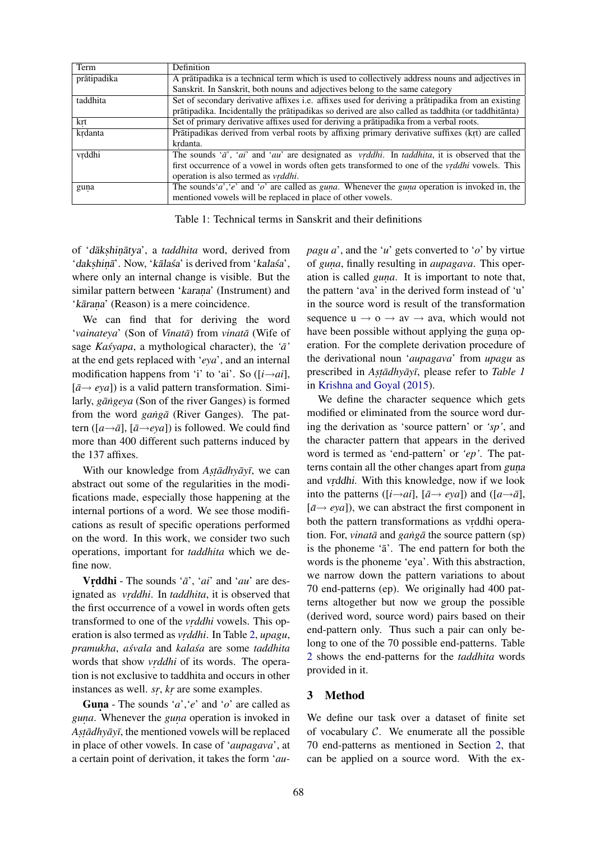| Term        | Definition                                                                                                                               |
|-------------|------------------------------------------------------------------------------------------------------------------------------------------|
| prātipadika | A prātipadika is a technical term which is used to collectively address nouns and adjectives in                                          |
|             | Sanskrit. In Sanskrit, both nouns and adjectives belong to the same category                                                             |
| taddhita    | Set of secondary derivative affixes i.e. affixes used for deriving a pratipadika from an existing                                        |
|             | prātipadika. Incidentally the prātipadikas so derived are also called as taddhita (or taddhitānta)                                       |
| krt         | Set of primary derivative affixes used for deriving a prātipadika from a verbal roots.                                                   |
| krdanta     | Prātipadikas derived from verbal roots by affixing primary derivative suffixes (krt) are called                                          |
|             | krdanta.                                                                                                                                 |
| vrddhi      | The sounds ' $\bar{a}$ ', ' $ai$ ' and 'au' are designated as <i>vrddhi</i> . In <i>taddhita</i> , it is observed that the               |
|             | first occurrence of a vowel in words often gets transformed to one of the <i>vrddhi</i> vowels. This                                     |
|             | operation is also termed as <i>vrddhi</i> .                                                                                              |
| guna        | The sounds ' <i>a</i> ', ' <i>e</i> ' and ' <i>o</i> ' are called as <i>guna</i> . Whenever the <i>guna</i> operation is invoked in, the |
|             | mentioned vowels will be replaced in place of other vowels.                                                                              |

Table 1: Technical terms in Sanskrit and their definitions

of 'dākshinātya', a taddhita word, derived from 'dakshinā'. Now, 'kālaśa' is derived from 'kalaśa', where only an internal change is visible. But the similar pattern between 'karana' (Instrument) and 'kārana' (Reason) is a mere coincidence.

We can find that for deriving the word '*vainateya*' (Son of *Vinatā*) from *vinatā* (Wife of sage *Kasyapa*, a mythological character), the ' $\bar{a}$ ' at the end gets replaced with '*eya*', and an internal modification happens from 'i' to 'ai'. So  $([i \rightarrow ai],$  $[\bar{a} \rightarrow e \gamma a]$ ) is a valid pattern transformation. Similarly, *gāngeya (Son of the river Ganges)* is formed from the word *gang* $\bar{a}$  (River Ganges). The pattern ( $[a \rightarrow \bar{a}]$ ,  $[\bar{a} \rightarrow e \gamma a]$ ) is followed. We could find more than 400 different such patterns induced by the 137 affixes.

With our knowledge from *Astadhyayi*, we can abstract out some of the regularities in the modifications made, especially those happening at the internal portions of a word. We see those modifications as result of specific operations performed on the word. In this work, we consider two such operations, important for *taddhita* which we define now.

Vrddhi - The sounds ' $\bar{a}$ ', '*ai*' and '*au*' are designated as *vrddhi*. In *taddhita*, it is observed that the first occurrence of a vowel in words often gets transformed to one of the *vrddhi* vowels. This operation is also termed as *vrddhi*. In Table 2, *upagu*, *pramukha*, *asvala ´* and *kalasa´* are some *taddhita* words that show *vrddhi* of its words. The operation is not exclusive to taddhita and occurs in other instances as well. *sr*, *kr* are some examples.

Guna - The sounds '*a*', '*e*' and '*o*' are called as *guna*. Whenever the *guna* operation is invoked in Asta*dhyay*, the mentioned vowels will be replaced in place of other vowels. In case of '*aupagava*', at a certain point of derivation, it takes the form '*au-* *pagu a*', and the '*u*' gets converted to '*o*' by virtue of *guna*, finally resulting in *aupagava*. This operation is called *guna*. It is important to note that, the pattern 'ava' in the derived form instead of 'u' in the source word is result of the transformation sequence  $u \rightarrow o \rightarrow av \rightarrow w$ , which would not have been possible without applying the guna operation. For the complete derivation procedure of the derivational noun '*aupagava*' from *upagu* as prescribed in *Astadhyayī*, please refer to *Table 1* in Krishna and Goyal (2015).

We define the character sequence which gets modified or eliminated from the source word during the derivation as 'source pattern' or *'sp'*, and the character pattern that appears in the derived word is termed as 'end-pattern' or *'ep'*. The patterns contain all the other changes apart from guna and vrddhi. With this knowledge, now if we look into the patterns ([ $i \rightarrow ai$ ], [ $\bar{a} \rightarrow eya$ ]) and ([ $a \rightarrow \bar{a}$ ],  $[\bar{a} \rightarrow e \gamma a]$ , we can abstract the first component in both the pattern transformations as vrddhi operation. For, *vinatā* and *gangā* the source pattern (sp) is the phoneme  $a^2$ . The end pattern for both the words is the phoneme 'eya'. With this abstraction, we narrow down the pattern variations to about 70 end-patterns (ep). We originally had 400 patterns altogether but now we group the possible (derived word, source word) pairs based on their end-pattern only. Thus such a pair can only belong to one of the 70 possible end-patterns. Table 2 shows the end-patterns for the *taddhita* words provided in it.

## 3 Method

We define our task over a dataset of finite set of vocabulary  $C$ . We enumerate all the possible 70 end-patterns as mentioned in Section 2, that can be applied on a source word. With the ex-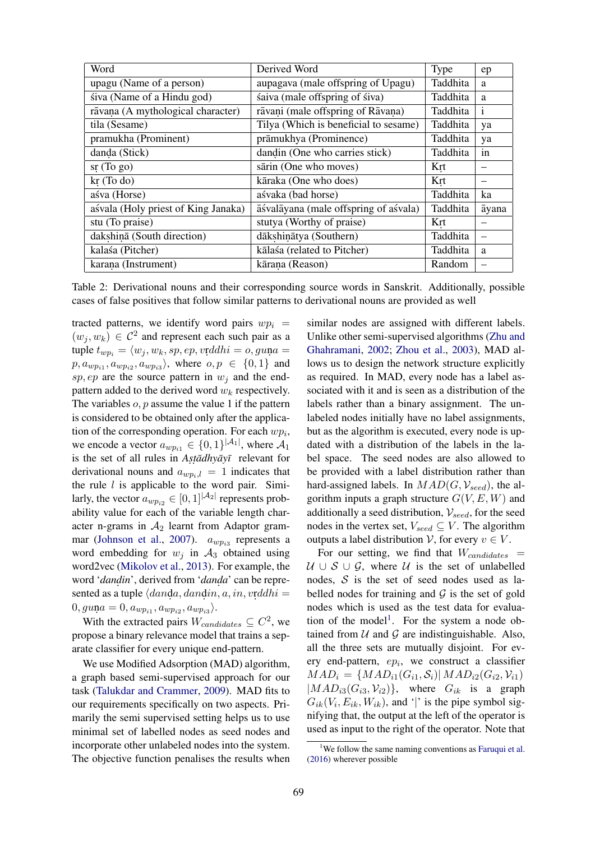| Word                                | Derived Word                          | Type     | ep           |
|-------------------------------------|---------------------------------------|----------|--------------|
| upagu (Name of a person)            | aupagava (male offspring of Upagu)    | Taddhita | a            |
| śiva (Name of a Hindu god)          | śaiva (male offspring of śiva)        | Taddhita | a            |
| rāvana (A mythological character)   | rāvani (male offspring of Rāvana)     | Taddhita | $\mathbf{i}$ |
| tila (Sesame)                       | Tilya (Which is beneficial to sesame) | Taddhita | ya           |
| pramukha (Prominent)                | prāmukhya (Prominence)                | Taddhita | ya           |
| danda (Stick)                       | dandin (One who carries stick)        | Taddhita | in           |
| sr(Togo)                            | sārin (One who moves)                 | Krt      |              |
| $kr$ (To do)                        | kāraka (One who does)                 | Krt      |              |
| aśva (Horse)                        | aśvaka (bad horse)                    | Taddhita | ka           |
| aśvala (Holy priest of King Janaka) | āśvalāyana (male offspring of aśvala) | Taddhita | āyana        |
| stu (To praise)                     | stutya (Worthy of praise)             | Krt      |              |
| dakshinā (South direction)          | dākshinātya (Southern)                | Taddhita |              |
| kalaśa (Pitcher)                    | kālaśa (related to Pitcher)           | Taddhita | a            |
| karana (Instrument)                 | kārana (Reason)                       | Random   |              |

Table 2: Derivational nouns and their corresponding source words in Sanskrit. Additionally, possible cases of false positives that follow similar patterns to derivational nouns are provided as well

tracted patterns, we identify word pairs  $wp_i$  =  $(w_j, w_k) \in C^2$  and represent each such pair as a tuple  $t_{wp_i} = \langle w_i , w_k , sp, ep, vr \rangle$ ddhi = o, guna  $p, a_{wp_{i1}}, a_{wp_{i2}}, a_{wp_{i3}}\rangle$ , where  $o, p \in \{0, 1\}$  and sp, ep are the source pattern in  $w_i$  and the endpattern added to the derived word  $w_k$  respectively. The variables  $o, p$  assume the value 1 if the pattern is considered to be obtained only after the application of the corresponding operation. For each  $wp_i$ , we encode a vector  $a_{wp_{i1}} \in \{0, 1\}^{|\mathcal{A}_1|}$ , where  $\mathcal{A}_1$ is the set of all rules in *Astadhyayī* relevant for derivational nouns and  $a_{wp_i,l} = 1$  indicates that the rule  $l$  is applicable to the word pair. Similarly, the vector  $a_{wp_{i2}} \in [0,1]^{|\mathcal{A}_2|}$  represents probability value for each of the variable length character n-grams in  $A_2$  learnt from Adaptor grammar (Johnson et al., 2007).  $a_{wp_{i3}}$  represents a word embedding for  $w_i$  in  $A_3$  obtained using word2vec (Mikolov et al., 2013). For example, the word '*dandin*', derived from '*danda*' can be represented as a tuple  $\langle d$ and $a, d$ and $in, a, in, v$ r $ddhi =$  $0, gu$ n $a = 0, a_{wp_{i1}}, a_{wp_{i2}}, a_{wp_{i3}}\rangle.$ 

With the extracted pairs  $W_{candidates} \subseteq C^2$ , we propose a binary relevance model that trains a separate classifier for every unique end-pattern.

We use Modified Adsorption (MAD) algorithm, a graph based semi-supervised approach for our task (Talukdar and Crammer, 2009). MAD fits to our requirements specifically on two aspects. Primarily the semi supervised setting helps us to use minimal set of labelled nodes as seed nodes and incorporate other unlabeled nodes into the system. The objective function penalises the results when

similar nodes are assigned with different labels. Unlike other semi-supervised algorithms (Zhu and Ghahramani, 2002; Zhou et al., 2003), MAD allows us to design the network structure explicitly as required. In MAD, every node has a label associated with it and is seen as a distribution of the labels rather than a binary assignment. The unlabeled nodes initially have no label assignments, but as the algorithm is executed, every node is updated with a distribution of the labels in the label space. The seed nodes are also allowed to be provided with a label distribution rather than hard-assigned labels. In  $MAD(G, V_{seed})$ , the algorithm inputs a graph structure  $G(V, E, W)$  and additionally a seed distribution,  $V_{seed}$ , for the seed nodes in the vertex set,  $V_{seed} \subseteq V$ . The algorithm outputs a label distribution V, for every  $v \in V$ .

For our setting, we find that  $W_{candidates}$  =  $U \cup S \cup G$ , where U is the set of unlabelled nodes,  $S$  is the set of seed nodes used as labelled nodes for training and  $\mathcal G$  is the set of gold nodes which is used as the test data for evaluation of the model<sup>1</sup>. For the system a node obtained from  $U$  and  $G$  are indistinguishable. Also, all the three sets are mutually disjoint. For every end-pattern,  $ep_i$ , we construct a classifier  $MAD_i = \{MAD_{i1}(G_{i1}, S_i) | MAD_{i2}(G_{i2}, V_{i1})\}$  $|MAD_{i3}(G_{i3}, V_{i2})\rangle$ , where  $G_{ik}$  is a graph  $G_{ik}(V_i, E_{ik}, W_{ik})$ , and '|' is the pipe symbol signifying that, the output at the left of the operator is used as input to the right of the operator. Note that

<sup>&</sup>lt;sup>1</sup>We follow the same naming conventions as Faruqui et al. (2016) wherever possible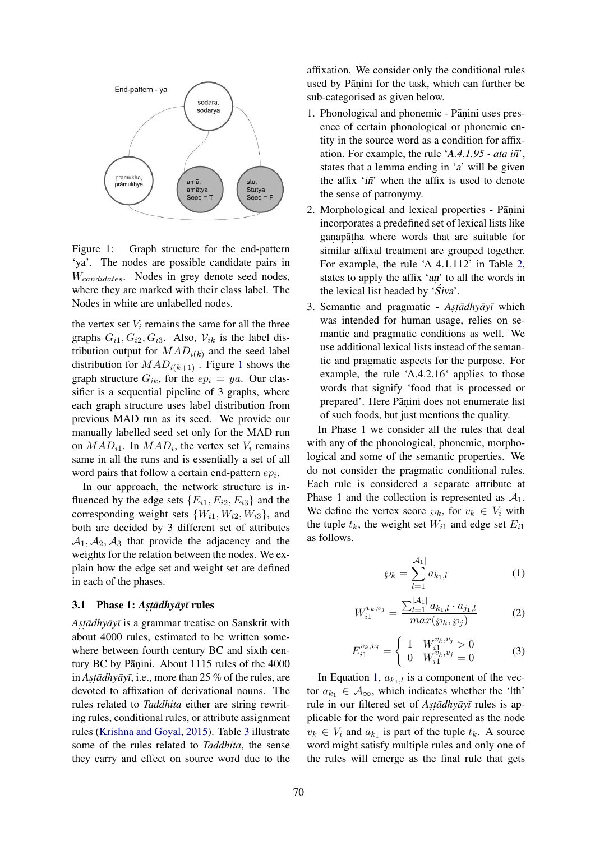

Figure 1: Graph structure for the end-pattern 'ya'. The nodes are possible candidate pairs in  $W_{candidates}$ . Nodes in grey denote seed nodes, where they are marked with their class label. The Nodes in white are unlabelled nodes.

the vertex set  $V_i$  remains the same for all the three graphs  $G_{i1}, G_{i2}, G_{i3}$ . Also,  $V_{ik}$  is the label distribution output for  $MAD_{i(k)}$  and the seed label distribution for  $MAD_{i(k+1)}$ . Figure 1 shows the graph structure  $G_{ik}$ , for the  $ep_i = ya$ . Our classifier is a sequential pipeline of 3 graphs, where each graph structure uses label distribution from previous MAD run as its seed. We provide our manually labelled seed set only for the MAD run on  $MAD_{i1}$ . In  $MAD_i$ , the vertex set  $V_i$  remains same in all the runs and is essentially a set of all word pairs that follow a certain end-pattern  $ep_i$ .

In our approach, the network structure is influenced by the edge sets  ${E_{i1}, E_{i2}, E_{i3}}$  and the corresponding weight sets  $\{W_{i1}, W_{i2}, W_{i3}\}\$ , and both are decided by 3 different set of attributes  $A_1, A_2, A_3$  that provide the adjacency and the weights for the relation between the nodes. We explain how the edge set and weight set are defined in each of the phases.

# 3.1 Phase 1: *Astadhyayī* rules

*As. t .adhy ¯ ay¯ ¯ı* is a grammar treatise on Sanskrit with about 4000 rules, estimated to be written somewhere between fourth century BC and sixth century BC by Pāṇini. About 1115 rules of the 4000 in *Astadhyayī*, i.e., more than 25 % of the rules, are devoted to affixation of derivational nouns. The rules related to *Taddhita* either are string rewriting rules, conditional rules, or attribute assignment rules (Krishna and Goyal, 2015). Table 3 illustrate some of the rules related to *Taddhita*, the sense they carry and effect on source word due to the affixation. We consider only the conditional rules used by Pāṇini for the task, which can further be sub-categorised as given below.

- 1. Phonological and phonemic Pāṇini uses presence of certain phonological or phonemic entity in the source word as a condition for affixation. For example, the rule '*A.4.1.95 - ata in˜*', states that a lemma ending in 'a' will be given the affix 'in<sup>\*</sup>' when the affix is used to denote the sense of patronymy.
- 2. Morphological and lexical properties Pāṇini incorporates a predefined set of lexical lists like ganapātha where words that are suitable for similar affixal treatment are grouped together. For example, the rule 'A 4.1.112' in Table 2, states to apply the affix 'an' to all the words in the lexical list headed by ' $\hat{S}$ *iva*'.
- 3. Semantic and pragmatic Astadhyayī which was intended for human usage, relies on semantic and pragmatic conditions as well. We use additional lexical lists instead of the semantic and pragmatic aspects for the purpose. For example, the rule 'A.4.2.16' applies to those words that signify 'food that is processed or prepared'. Here Pāṇini does not enumerate list of such foods, but just mentions the quality.

In Phase 1 we consider all the rules that deal with any of the phonological, phonemic, morphological and some of the semantic properties. We do not consider the pragmatic conditional rules. Each rule is considered a separate attribute at Phase 1 and the collection is represented as  $A_1$ . We define the vertex score  $\wp_k$ , for  $v_k \in V_i$  with the tuple  $t_k$ , the weight set  $W_{i1}$  and edge set  $E_{i1}$ as follows.

$$
\wp_k = \sum_{l=1}^{|\mathcal{A}_1|} a_{k_1,l} \tag{1}
$$

$$
W_{i1}^{v_k, v_j} = \frac{\sum_{l=1}^{|\mathcal{A}_1|} a_{k_1, l} \cdot a_{j_1, l}}{max(\wp_k, \wp_j)}
$$
(2)

$$
E_{i1}^{v_k, v_j} = \begin{cases} 1 & W_{i1}^{v_k, v_j} > 0 \\ 0 & W_{i1}^{v_k, v_j} = 0 \end{cases}
$$
 (3)

In Equation 1,  $a_{k_1,l}$  is a component of the vector  $a_{k_1} \in \mathcal{A}_{\infty}$ , which indicates whether the 'lth' rule in our filtered set of *Astadhyayī* rules is applicable for the word pair represented as the node  $v_k \in V_i$  and  $a_{k_1}$  is part of the tuple  $t_k$ . A source word might satisfy multiple rules and only one of the rules will emerge as the final rule that gets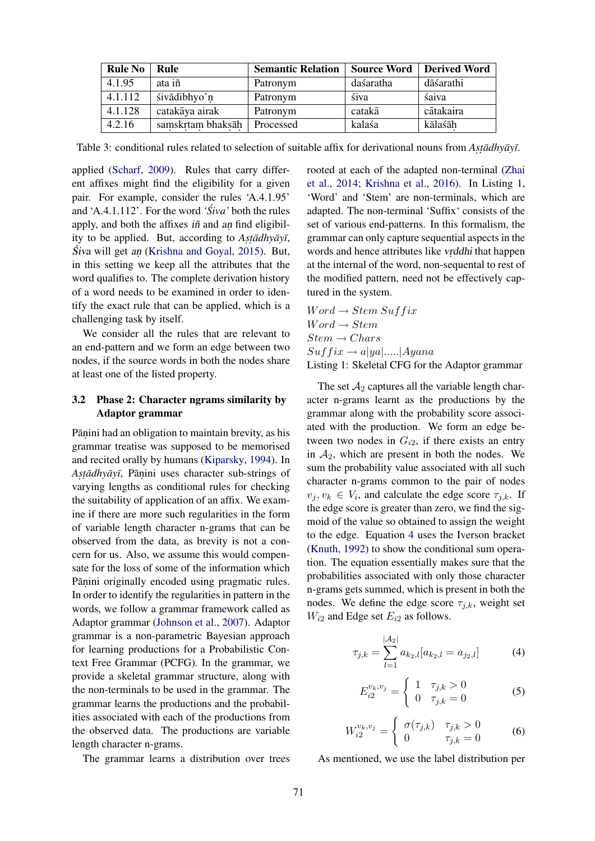| <b>Rule No</b> | Rule              | <b>Semantic Relation</b> | <b>Source Word</b> | <b>Derived Word</b> |
|----------------|-------------------|--------------------------|--------------------|---------------------|
| 4.1.95         | ata iñ            | Patronym                 | daśaratha          | dāśarathi           |
| 4.1.112        | śivādibhyo'n      | Patronym                 | śiva               | śaiva               |
| 4.1.128        | catakāya airak    | Patronym                 | catakā             | cātakaira           |
| 4.2.16         | samskrtam bhaksāh | Processed                | kalaśa             | kālaśāh             |

Table 3: conditional rules related to selection of suitable affix for derivational nouns from *Astadhyayī*.

applied (Scharf, 2009). Rules that carry different affixes might find the eligibility for a given pair. For example, consider the rules 'A.4.1.95' and 'A.4.1.112'. For the word 'Siva' both the rules apply, and both the affixes  $i\tilde{n}$  and an find eligibility to be applied. But, according to Astadhyayī, Śiva will get an (Krishna and Goyal, 2015). But, in this setting we keep all the attributes that the word qualifies to. The complete derivation history of a word needs to be examined in order to identify the exact rule that can be applied, which is a challenging task by itself.

We consider all the rules that are relevant to an end-pattern and we form an edge between two nodes, if the source words in both the nodes share at least one of the listed property.

#### 3.2 Phase 2: Character ngrams similarity by Adaptor grammar

Pāṇini had an obligation to maintain brevity, as his grammar treatise was supposed to be memorised and recited orally by humans (Kiparsky, 1994). In Astadhyayī, Pāṇini uses character sub-strings of varying lengths as conditional rules for checking the suitability of application of an affix. We examine if there are more such regularities in the form of variable length character n-grams that can be observed from the data, as brevity is not a concern for us. Also, we assume this would compensate for the loss of some of the information which Pāṇini originally encoded using pragmatic rules. In order to identify the regularities in pattern in the words, we follow a grammar framework called as Adaptor grammar (Johnson et al., 2007). Adaptor grammar is a non-parametric Bayesian approach for learning productions for a Probabilistic Context Free Grammar (PCFG). In the grammar, we provide a skeletal grammar structure, along with the non-terminals to be used in the grammar. The grammar learns the productions and the probabilities associated with each of the productions from the observed data. The productions are variable length character n-grams.

The grammar learns a distribution over trees

rooted at each of the adapted non-terminal (Zhai et al., 2014; Krishna et al., 2016). In Listing 1, 'Word' and 'Stem' are non-terminals, which are adapted. The non-terminal 'Suffix' consists of the set of various end-patterns. In this formalism, the grammar can only capture sequential aspects in the words and hence attributes like *vrddhi* that happen at the internal of the word, non-sequental to rest of the modified pattern, need not be effectively captured in the system.

 $Word \rightarrow Stem\ Suffix$  $Word \rightarrow Stem$  $Stem \rightarrow Chars$  $Suffix \rightarrow a|ya|.....|Ayana$ Listing 1: Skeletal CFG for the Adaptor grammar

The set  $A_2$  captures all the variable length character n-grams learnt as the productions by the grammar along with the probability score associated with the production. We form an edge between two nodes in  $G_{i2}$ , if there exists an entry in  $A_2$ , which are present in both the nodes. We sum the probability value associated with all such character n-grams common to the pair of nodes  $v_j, v_k \in V_i$ , and calculate the edge score  $\tau_{j,k}$ . If the edge score is greater than zero, we find the sigmoid of the value so obtained to assign the weight to the edge. Equation 4 uses the Iverson bracket (Knuth, 1992) to show the conditional sum operation. The equation essentially makes sure that the probabilities associated with only those character n-grams gets summed, which is present in both the nodes. We define the edge score  $\tau_{j,k}$ , weight set  $W_{i2}$  and Edge set  $E_{i2}$  as follows.

$$
\tau_{j,k} = \sum_{l=1}^{|\mathcal{A}_2|} a_{k_2,l} [a_{k_2,l} = a_{j_2,l}] \tag{4}
$$

$$
E_{i2}^{v_k, v_j} = \begin{cases} 1 & \tau_{j,k} > 0 \\ 0 & \tau_{j,k} = 0 \end{cases}
$$
 (5)

$$
W_{i2}^{v_k, v_j} = \begin{cases} \sigma(\tau_{j,k}) & \tau_{j,k} > 0\\ 0 & \tau_{j,k} = 0 \end{cases} \tag{6}
$$

As mentioned, we use the label distribution per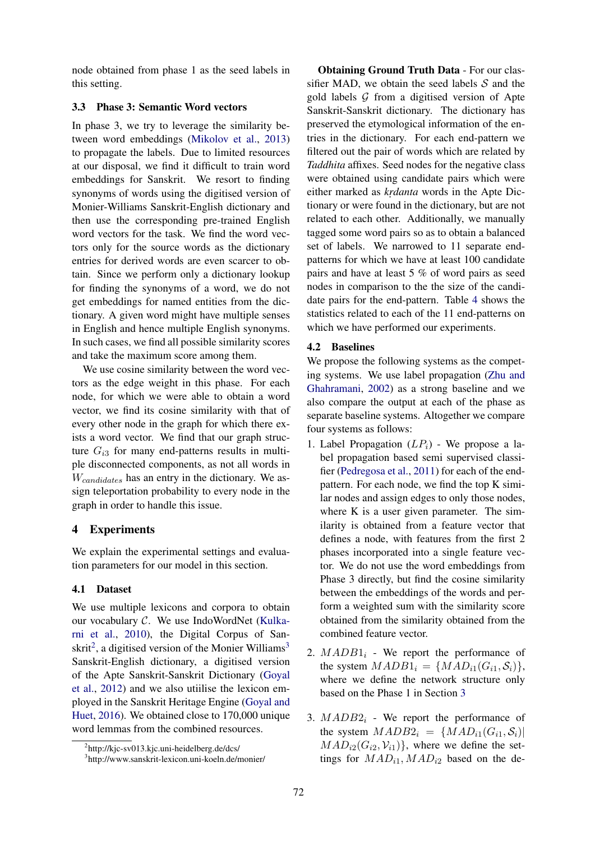node obtained from phase 1 as the seed labels in this setting.

#### 3.3 Phase 3: Semantic Word vectors

In phase 3, we try to leverage the similarity between word embeddings (Mikolov et al., 2013) to propagate the labels. Due to limited resources at our disposal, we find it difficult to train word embeddings for Sanskrit. We resort to finding synonyms of words using the digitised version of Monier-Williams Sanskrit-English dictionary and then use the corresponding pre-trained English word vectors for the task. We find the word vectors only for the source words as the dictionary entries for derived words are even scarcer to obtain. Since we perform only a dictionary lookup for finding the synonyms of a word, we do not get embeddings for named entities from the dictionary. A given word might have multiple senses in English and hence multiple English synonyms. In such cases, we find all possible similarity scores and take the maximum score among them.

We use cosine similarity between the word vectors as the edge weight in this phase. For each node, for which we were able to obtain a word vector, we find its cosine similarity with that of every other node in the graph for which there exists a word vector. We find that our graph structure  $G_{i3}$  for many end-patterns results in multiple disconnected components, as not all words in  $W_{candidates}$  has an entry in the dictionary. We assign teleportation probability to every node in the graph in order to handle this issue.

## 4 Experiments

We explain the experimental settings and evaluation parameters for our model in this section.

## 4.1 Dataset

We use multiple lexicons and corpora to obtain our vocabulary C. We use IndoWordNet (Kulkarni et al., 2010), the Digital Corpus of Sanskrit<sup>2</sup>, a digitised version of the Monier Williams<sup>3</sup> Sanskrit-English dictionary, a digitised version of the Apte Sanskrit-Sanskrit Dictionary (Goyal et al., 2012) and we also utiilise the lexicon employed in the Sanskrit Heritage Engine (Goyal and Huet, 2016). We obtained close to 170,000 unique word lemmas from the combined resources.

Obtaining Ground Truth Data - For our classifier MAD, we obtain the seed labels  $S$  and the gold labels  $G$  from a digitised version of Apte Sanskrit-Sanskrit dictionary. The dictionary has preserved the etymological information of the entries in the dictionary. For each end-pattern we filtered out the pair of words which are related by *Taddhita* affixes. Seed nodes for the negative class were obtained using candidate pairs which were either marked as *krdanta* words in the Apte Dictionary or were found in the dictionary, but are not related to each other. Additionally, we manually tagged some word pairs so as to obtain a balanced set of labels. We narrowed to 11 separate endpatterns for which we have at least 100 candidate pairs and have at least 5 % of word pairs as seed nodes in comparison to the the size of the candidate pairs for the end-pattern. Table 4 shows the statistics related to each of the 11 end-patterns on which we have performed our experiments.

#### 4.2 Baselines

We propose the following systems as the competing systems. We use label propagation (Zhu and Ghahramani, 2002) as a strong baseline and we also compare the output at each of the phase as separate baseline systems. Altogether we compare four systems as follows:

- 1. Label Propagation  $(LP_i)$  We propose a label propagation based semi supervised classifier (Pedregosa et al., 2011) for each of the endpattern. For each node, we find the top K similar nodes and assign edges to only those nodes, where K is a user given parameter. The similarity is obtained from a feature vector that defines a node, with features from the first 2 phases incorporated into a single feature vector. We do not use the word embeddings from Phase 3 directly, but find the cosine similarity between the embeddings of the words and perform a weighted sum with the similarity score obtained from the similarity obtained from the combined feature vector.
- 2.  $MADD1_i$  We report the performance of the system  $MADD1_i = \{MAD_{i1}(G_{i1}, S_i)\},\$ where we define the network structure only based on the Phase 1 in Section 3
- 3.  $MADB2<sub>i</sub>$  We report the performance of the system  $MADB2_i = \{MAD_{i1}(G_{i1}, S_i) |$  $MAD_{i2}(G_{i2}, V_{i1})\},$  where we define the settings for  $MAD_{i1}$ ,  $MAD_{i2}$  based on the de-

<sup>&</sup>lt;sup>2</sup>http://kjc-sv013.kjc.uni-heidelberg.de/dcs/

<sup>3</sup> http://www.sanskrit-lexicon.uni-koeln.de/monier/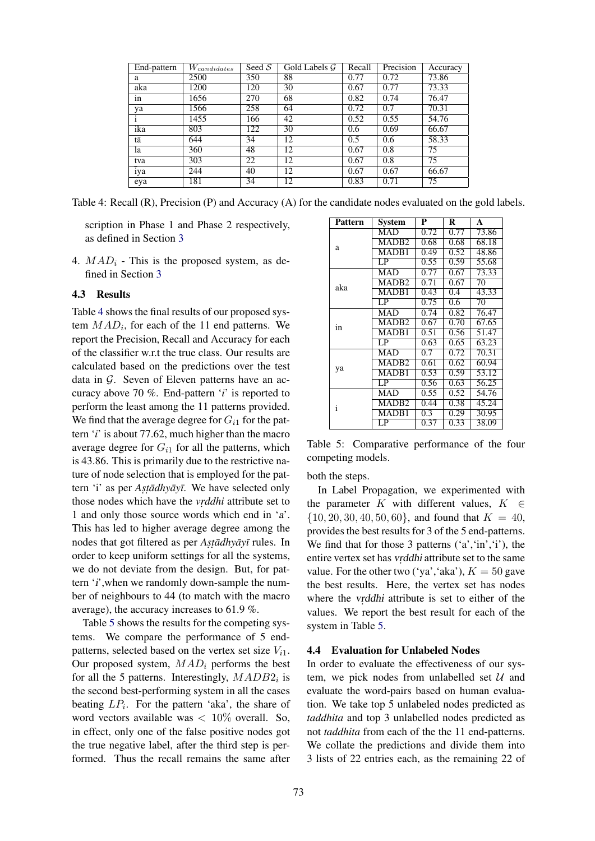| End-pattern | $\bar{W}_{candidates}$ | Seed $S$ | Gold Labels $G$ | Recall | Precision | Accuracy |
|-------------|------------------------|----------|-----------------|--------|-----------|----------|
| a           | 2500                   | 350      | 88              | 0.77   | 0.72      | 73.86    |
| aka         | 1200                   | 120      | 30              | 0.67   | 0.77      | 73.33    |
| in          | 1656                   | 270      | 68              | 0.82   | 0.74      | 76.47    |
| ya          | 1566                   | 258      | 64              | 0.72   | 0.7       | 70.31    |
|             | 1455                   | 166      | 42              | 0.52   | 0.55      | 54.76    |
| ika         | 803                    | 122      | 30              | 0.6    | 0.69      | 66.67    |
| tā          | 644                    | 34       | 12              | 0.5    | 0.6       | 58.33    |
| la          | 360                    | 48       | 12              | 0.67   | 0.8       | 75       |
| tva         | 303                    | 22       | 12              | 0.67   | 0.8       | 75       |
| iya         | 244                    | 40       | 12              | 0.67   | 0.67      | 66.67    |
| eya         | 181                    | 34       | 12              | 0.83   | 0.71      | 75       |

Table 4: Recall (R), Precision (P) and Accuracy (A) for the candidate nodes evaluated on the gold labels.

scription in Phase 1 and Phase 2 respectively, as defined in Section 3

4.  $MAD_i$  - This is the proposed system, as defined in Section 3

#### 4.3 Results

Table 4 shows the final results of our proposed system  $MAD_i$ , for each of the 11 end patterns. We report the Precision, Recall and Accuracy for each of the classifier w.r.t the true class. Our results are calculated based on the predictions over the test data in  $G$ . Seven of Eleven patterns have an accuracy above 70 %. End-pattern '*i*' is reported to perform the least among the 11 patterns provided. We find that the average degree for  $G_{i1}$  for the pattern '*i*' is about 77.62, much higher than the macro average degree for  $G_{i1}$  for all the patterns, which is 43.86. This is primarily due to the restrictive nature of node selection that is employed for the pattern 'i' as per *Astadhyayī*. We have selected only those nodes which have the *vrddhi* attribute set to 1 and only those source words which end in 'a'. This has led to higher average degree among the nodes that got filtered as per *Astadhyayī* rules. In order to keep uniform settings for all the systems, we do not deviate from the design. But, for pattern 'i', when we randomly down-sample the number of neighbours to 44 (to match with the macro average), the accuracy increases to 61.9 %.

Table 5 shows the results for the competing systems. We compare the performance of 5 endpatterns, selected based on the vertex set size  $V_{i1}$ . Our proposed system,  $MAD_i$  performs the best for all the 5 patterns. Interestingly,  $MADB2<sub>i</sub>$  is the second best-performing system in all the cases beating  $LP_i$ . For the pattern 'aka', the share of word vectors available was  $< 10\%$  overall. So, in effect, only one of the false positive nodes got the true negative label, after the third step is performed. Thus the recall remains the same after

| Pattern | Svstem            | P                | R    | A     |
|---------|-------------------|------------------|------|-------|
|         | <b>MAD</b>        | 0.72             | 0.77 | 73.86 |
| a       | MADB <sub>2</sub> | 0.68             | 0.68 | 68.18 |
|         | MADB1             | 0.49             | 0.52 | 48.86 |
|         | $\overline{LP}$   | 0.55             | 0.59 | 55.68 |
|         | <b>MAD</b>        | 0.77             | 0.67 | 73.33 |
| aka     | MADB <sub>2</sub> | 0.71             | 0.67 | 70    |
|         | MADB1             | 0.43             | 0.4  | 43.33 |
|         | LP                | 0.75             | 0.6  | 70    |
|         | <b>MAD</b>        | 0.74             | 0.82 | 76.47 |
| in      | MADB <sub>2</sub> | 0.67             | 0.70 | 67.65 |
|         | MADB1             | 0.51             | 0.56 | 51.47 |
|         | LP                | 0.63             | 0.65 | 63.23 |
|         | <b>MAD</b>        | 0.7              | 0.72 | 70.31 |
|         | MADB <sub>2</sub> | 0.61             | 0.62 | 60.94 |
| ya      | MADB1             | 0.53             | 0.59 | 53.12 |
|         | $\overline{LP}$   | 0.56             | 0.63 | 56.25 |
|         | <b>MAD</b>        | 0.55             | 0.52 | 54.76 |
| i       | MADB <sub>2</sub> | 0.44             | 0.38 | 45.24 |
|         | MADB1             | $\overline{0.3}$ | 0.29 | 30.95 |
|         | LP                | 0.37             | 0.33 | 38.09 |

Table 5: Comparative performance of the four competing models.

both the steps.

In Label Propagation, we experimented with the parameter K with different values,  $K \in$  $\{10, 20, 30, 40, 50, 60\}$ , and found that  $K = 40$ , provides the best results for 3 of the 5 end-patterns. We find that for those 3 patterns  $('a', 'in', 'i')$ , the entire vertex set has vrddhi attribute set to the same value. For the other two ('ya', 'aka'),  $K = 50$  gave the best results. Here, the vertex set has nodes where the *vrddhi* attribute is set to either of the values. We report the best result for each of the system in Table 5.

#### 4.4 Evaluation for Unlabeled Nodes

In order to evaluate the effectiveness of our system, we pick nodes from unlabelled set  $U$  and evaluate the word-pairs based on human evaluation. We take top 5 unlabeled nodes predicted as *taddhita* and top 3 unlabelled nodes predicted as not *taddhita* from each of the the 11 end-patterns. We collate the predictions and divide them into 3 lists of 22 entries each, as the remaining 22 of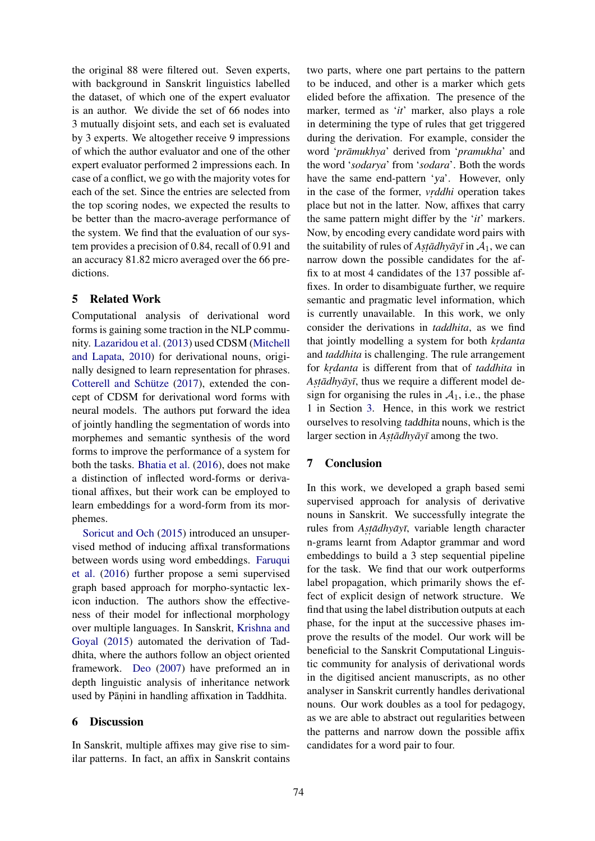the original 88 were filtered out. Seven experts, with background in Sanskrit linguistics labelled the dataset, of which one of the expert evaluator is an author. We divide the set of 66 nodes into 3 mutually disjoint sets, and each set is evaluated by 3 experts. We altogether receive 9 impressions of which the author evaluator and one of the other expert evaluator performed 2 impressions each. In case of a conflict, we go with the majority votes for each of the set. Since the entries are selected from the top scoring nodes, we expected the results to be better than the macro-average performance of the system. We find that the evaluation of our system provides a precision of 0.84, recall of 0.91 and an accuracy 81.82 micro averaged over the 66 predictions.

## 5 Related Work

Computational analysis of derivational word forms is gaining some traction in the NLP community. Lazaridou et al. (2013) used CDSM (Mitchell and Lapata, 2010) for derivational nouns, originally designed to learn representation for phrases. Cotterell and Schütze  $(2017)$ , extended the concept of CDSM for derivational word forms with neural models. The authors put forward the idea of jointly handling the segmentation of words into morphemes and semantic synthesis of the word forms to improve the performance of a system for both the tasks. Bhatia et al. (2016), does not make a distinction of inflected word-forms or derivational affixes, but their work can be employed to learn embeddings for a word-form from its morphemes.

Soricut and Och (2015) introduced an unsupervised method of inducing affixal transformations between words using word embeddings. Faruqui et al. (2016) further propose a semi supervised graph based approach for morpho-syntactic lexicon induction. The authors show the effectiveness of their model for inflectional morphology over multiple languages. In Sanskrit, Krishna and Goyal (2015) automated the derivation of Taddhita, where the authors follow an object oriented framework. Deo (2007) have preformed an in depth linguistic analysis of inheritance network used by Pāṇini in handling affixation in Taddhita.

#### 6 Discussion

In Sanskrit, multiple affixes may give rise to similar patterns. In fact, an affix in Sanskrit contains two parts, where one part pertains to the pattern to be induced, and other is a marker which gets elided before the affixation. The presence of the marker, termed as '*it*' marker, also plays a role in determining the type of rules that get triggered during the derivation. For example, consider the word 'prāmukhya' derived from 'pramukha' and the word '*sodarya*' from '*sodara*'. Both the words have the same end-pattern 'ya'. However, only in the case of the former, *vrddhi* operation takes place but not in the latter. Now, affixes that carry the same pattern might differ by the '*it*' markers. Now, by encoding every candidate word pairs with the suitability of rules of  $A$ *st* $\bar{a}$ *dhy* $\bar{a}$ *y* $\bar{i}$  in  $A$ <sub>1</sub>, we can narrow down the possible candidates for the affix to at most 4 candidates of the 137 possible affixes. In order to disambiguate further, we require semantic and pragmatic level information, which is currently unavailable. In this work, we only consider the derivations in *taddhita*, as we find that jointly modelling a system for both *krdanta* and *taddhita* is challenging. The rule arrangement for *krdanta* is different from that of *taddhita* in Asta*dhyayī*, thus we require a different model design for organising the rules in  $A_1$ , i.e., the phase 1 in Section 3. Hence, in this work we restrict ourselves to resolving taddhita nouns, which is the larger section in *Astadhyayī* among the two.

## 7 Conclusion

In this work, we developed a graph based semi supervised approach for analysis of derivative nouns in Sanskrit. We successfully integrate the rules from *Astadhyayī*, variable length character n-grams learnt from Adaptor grammar and word embeddings to build a 3 step sequential pipeline for the task. We find that our work outperforms label propagation, which primarily shows the effect of explicit design of network structure. We find that using the label distribution outputs at each phase, for the input at the successive phases improve the results of the model. Our work will be beneficial to the Sanskrit Computational Linguistic community for analysis of derivational words in the digitised ancient manuscripts, as no other analyser in Sanskrit currently handles derivational nouns. Our work doubles as a tool for pedagogy, as we are able to abstract out regularities between the patterns and narrow down the possible affix candidates for a word pair to four.